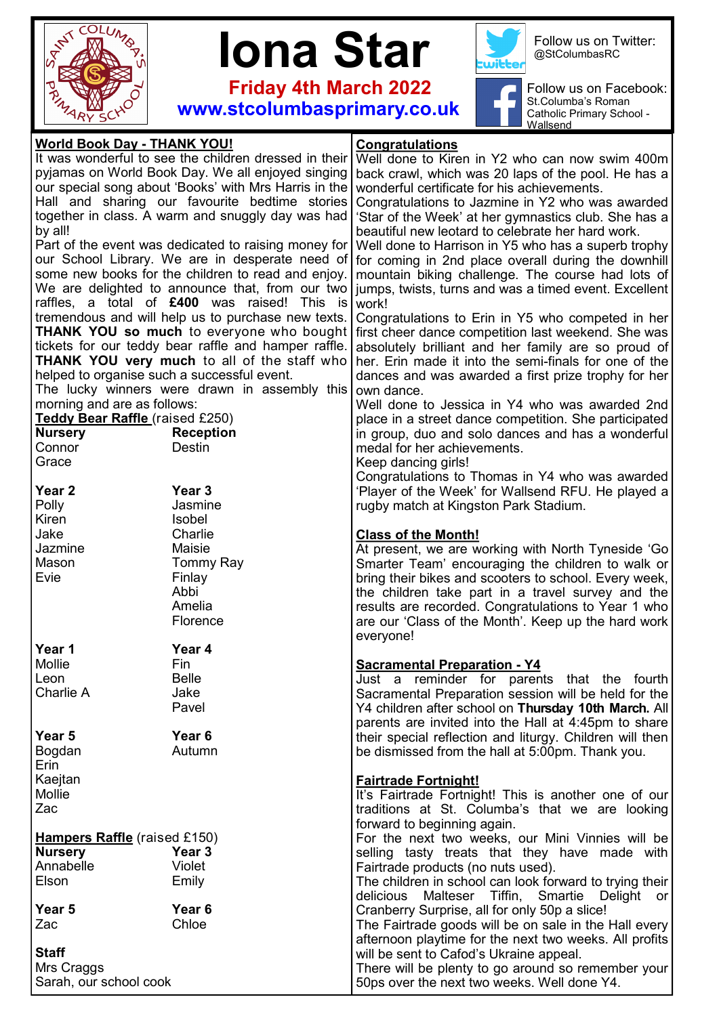



 **Friday 4th March 2022 www.stcolumbasprimary.co.uk**



Follow us on Twitter: @StColumbasRC

Follow us on Facebook: r St.Columba's Roman Catholic Primary School - Wallsend

| It was wonderful to see the children dressed in their<br>Well done to Kiren in Y2 who can now swim 400m<br>pyjamas on World Book Day. We all enjoyed singing<br>back crawl, which was 20 laps of the pool. He has a<br>our special song about 'Books' with Mrs Harris in the<br>wonderful certificate for his achievements.<br>Hall and sharing our favourite bedtime stories<br>Congratulations to Jazmine in Y2 who was awarded<br>together in class. A warm and snuggly day was had<br>'Star of the Week' at her gymnastics club. She has a<br>by all!<br>beautiful new leotard to celebrate her hard work.<br>Part of the event was dedicated to raising money for<br>Well done to Harrison in Y5 who has a superb trophy<br>our School Library. We are in desperate need of<br>for coming in 2nd place overall during the downhill<br>some new books for the children to read and enjoy.<br>mountain biking challenge. The course had lots of<br>We are delighted to announce that, from our two<br>jumps, twists, turns and was a timed event. Excellent<br>raffles, a total of £400 was raised! This is<br>work!<br>tremendous and will help us to purchase new texts.<br>Congratulations to Erin in Y5 who competed in her<br><b>THANK YOU so much</b> to everyone who bought<br>first cheer dance competition last weekend. She was<br>tickets for our teddy bear raffle and hamper raffle.<br>absolutely brilliant and her family are so proud of<br><b>THANK YOU very much to all of the staff who</b><br>her. Erin made it into the semi-finals for one of the<br>helped to organise such a successful event.<br>dances and was awarded a first prize trophy for her<br>The lucky winners were drawn in assembly this<br>own dance.<br>morning and are as follows:<br>Well done to Jessica in Y4 who was awarded 2nd<br>Teddy Bear Raffle (raised £250)<br>place in a street dance competition. She participated<br><b>Nursery</b><br><b>Reception</b><br>in group, duo and solo dances and has a wonderful<br>Connor<br>Destin<br>medal for her achievements.<br>Grace<br>Keep dancing girls!<br>Congratulations to Thomas in Y4 who was awarded<br>Year <sub>3</sub><br>Year <sub>2</sub><br>'Player of the Week' for Wallsend RFU. He played a<br>Polly<br>Jasmine<br>rugby match at Kingston Park Stadium.<br>Kiren<br>Isobel<br>Charlie<br>Jake<br><b>Class of the Month!</b><br>Maisie<br>Jazmine<br>At present, we are working with North Tyneside 'Go<br>Mason<br><b>Tommy Ray</b><br>Smarter Team' encouraging the children to walk or<br>Evie<br>Finlay<br>bring their bikes and scooters to school. Every week,<br>Abbi<br>the children take part in a travel survey and the<br>Amelia<br>results are recorded. Congratulations to Year 1 who<br>Florence<br>are our 'Class of the Month'. Keep up the hard work<br>everyone!<br>Year 1<br>Year 4<br>Mollie<br>Fin<br><b>Sacramental Preparation - Y4</b><br><b>Belle</b><br>Leon<br>Just a reminder for parents that the fourth<br>Charlie A<br>Jake<br>Sacramental Preparation session will be held for the<br>Pavel<br>Y4 children after school on Thursday 10th March. All<br>parents are invited into the Hall at 4:45pm to share<br>Year 5<br>Year 6<br>their special reflection and liturgy. Children will then<br>Bogdan<br>Autumn<br>be dismissed from the hall at 5:00pm. Thank you.<br>Erin<br>Kaejtan<br><b>Fairtrade Fortnight!</b><br>Mollie<br>It's Fairtrade Fortnight! This is another one of our<br>Zac<br>traditions at St. Columba's that we are looking<br>forward to beginning again.<br><b>Hampers Raffle</b> (raised £150)<br>For the next two weeks, our Mini Vinnies will be<br><b>Nursery</b><br>Year 3<br>selling tasty treats that they have made with<br>Annabelle<br>Violet<br>Fairtrade products (no nuts used).<br>Elson<br>Emily<br>The children in school can look forward to trying their<br>Malteser Tiffin, Smartie<br>delicious<br>Delight<br>or l<br>Year <sub>6</sub><br>Year 5<br>Cranberry Surprise, all for only 50p a slice!<br>Chloe<br>Zac<br>The Fairtrade goods will be on sale in the Hall every<br>afternoon playtime for the next two weeks. All profits<br>will be sent to Cafod's Ukraine appeal.<br>Mrs Craggs<br>There will be plenty to go around so remember your<br>Sarah, our school cook<br>50ps over the next two weeks. Well done Y4. | <b>World Book Day - THANK YOU!</b> |  | Congratulations |
|-----------------------------------------------------------------------------------------------------------------------------------------------------------------------------------------------------------------------------------------------------------------------------------------------------------------------------------------------------------------------------------------------------------------------------------------------------------------------------------------------------------------------------------------------------------------------------------------------------------------------------------------------------------------------------------------------------------------------------------------------------------------------------------------------------------------------------------------------------------------------------------------------------------------------------------------------------------------------------------------------------------------------------------------------------------------------------------------------------------------------------------------------------------------------------------------------------------------------------------------------------------------------------------------------------------------------------------------------------------------------------------------------------------------------------------------------------------------------------------------------------------------------------------------------------------------------------------------------------------------------------------------------------------------------------------------------------------------------------------------------------------------------------------------------------------------------------------------------------------------------------------------------------------------------------------------------------------------------------------------------------------------------------------------------------------------------------------------------------------------------------------------------------------------------------------------------------------------------------------------------------------------------------------------------------------------------------------------------------------------------------------------------------------------------------------------------------------------------------------------------------------------------------------------------------------------------------------------------------------------------------------------------------------------------------------------------------------------------------------------------------------------------------------------------------------------------------------------------------------------------------------------------------------------------------------------------------------------------------------------------------------------------------------------------------------------------------------------------------------------------------------------------------------------------------------------------------------------------------------------------------------------------------------------------------------------------------------------------------------------------------------------------------------------------------------------------------------------------------------------------------------------------------------------------------------------------------------------------------------------------------------------------------------------------------------------------------------------------------------------------------------------------------------------------------------------------------------------------------------------------------------------------------------------------------------------------------------------------------------------------------------------------------------------------------------------------------------------------------------------------------------------------------------------------------------------------------------------------------------------------------------------------------------------------------------------------------------------------------------------------------|------------------------------------|--|-----------------|
|                                                                                                                                                                                                                                                                                                                                                                                                                                                                                                                                                                                                                                                                                                                                                                                                                                                                                                                                                                                                                                                                                                                                                                                                                                                                                                                                                                                                                                                                                                                                                                                                                                                                                                                                                                                                                                                                                                                                                                                                                                                                                                                                                                                                                                                                                                                                                                                                                                                                                                                                                                                                                                                                                                                                                                                                                                                                                                                                                                                                                                                                                                                                                                                                                                                                                                                                                                                                                                                                                                                                                                                                                                                                                                                                                                                                                                                                                                                                                                                                                                                                                                                                                                                                                                                                                                                                                                             |                                    |  |                 |
|                                                                                                                                                                                                                                                                                                                                                                                                                                                                                                                                                                                                                                                                                                                                                                                                                                                                                                                                                                                                                                                                                                                                                                                                                                                                                                                                                                                                                                                                                                                                                                                                                                                                                                                                                                                                                                                                                                                                                                                                                                                                                                                                                                                                                                                                                                                                                                                                                                                                                                                                                                                                                                                                                                                                                                                                                                                                                                                                                                                                                                                                                                                                                                                                                                                                                                                                                                                                                                                                                                                                                                                                                                                                                                                                                                                                                                                                                                                                                                                                                                                                                                                                                                                                                                                                                                                                                                             |                                    |  |                 |
|                                                                                                                                                                                                                                                                                                                                                                                                                                                                                                                                                                                                                                                                                                                                                                                                                                                                                                                                                                                                                                                                                                                                                                                                                                                                                                                                                                                                                                                                                                                                                                                                                                                                                                                                                                                                                                                                                                                                                                                                                                                                                                                                                                                                                                                                                                                                                                                                                                                                                                                                                                                                                                                                                                                                                                                                                                                                                                                                                                                                                                                                                                                                                                                                                                                                                                                                                                                                                                                                                                                                                                                                                                                                                                                                                                                                                                                                                                                                                                                                                                                                                                                                                                                                                                                                                                                                                                             |                                    |  |                 |
|                                                                                                                                                                                                                                                                                                                                                                                                                                                                                                                                                                                                                                                                                                                                                                                                                                                                                                                                                                                                                                                                                                                                                                                                                                                                                                                                                                                                                                                                                                                                                                                                                                                                                                                                                                                                                                                                                                                                                                                                                                                                                                                                                                                                                                                                                                                                                                                                                                                                                                                                                                                                                                                                                                                                                                                                                                                                                                                                                                                                                                                                                                                                                                                                                                                                                                                                                                                                                                                                                                                                                                                                                                                                                                                                                                                                                                                                                                                                                                                                                                                                                                                                                                                                                                                                                                                                                                             |                                    |  |                 |
|                                                                                                                                                                                                                                                                                                                                                                                                                                                                                                                                                                                                                                                                                                                                                                                                                                                                                                                                                                                                                                                                                                                                                                                                                                                                                                                                                                                                                                                                                                                                                                                                                                                                                                                                                                                                                                                                                                                                                                                                                                                                                                                                                                                                                                                                                                                                                                                                                                                                                                                                                                                                                                                                                                                                                                                                                                                                                                                                                                                                                                                                                                                                                                                                                                                                                                                                                                                                                                                                                                                                                                                                                                                                                                                                                                                                                                                                                                                                                                                                                                                                                                                                                                                                                                                                                                                                                                             |                                    |  |                 |
|                                                                                                                                                                                                                                                                                                                                                                                                                                                                                                                                                                                                                                                                                                                                                                                                                                                                                                                                                                                                                                                                                                                                                                                                                                                                                                                                                                                                                                                                                                                                                                                                                                                                                                                                                                                                                                                                                                                                                                                                                                                                                                                                                                                                                                                                                                                                                                                                                                                                                                                                                                                                                                                                                                                                                                                                                                                                                                                                                                                                                                                                                                                                                                                                                                                                                                                                                                                                                                                                                                                                                                                                                                                                                                                                                                                                                                                                                                                                                                                                                                                                                                                                                                                                                                                                                                                                                                             |                                    |  |                 |
|                                                                                                                                                                                                                                                                                                                                                                                                                                                                                                                                                                                                                                                                                                                                                                                                                                                                                                                                                                                                                                                                                                                                                                                                                                                                                                                                                                                                                                                                                                                                                                                                                                                                                                                                                                                                                                                                                                                                                                                                                                                                                                                                                                                                                                                                                                                                                                                                                                                                                                                                                                                                                                                                                                                                                                                                                                                                                                                                                                                                                                                                                                                                                                                                                                                                                                                                                                                                                                                                                                                                                                                                                                                                                                                                                                                                                                                                                                                                                                                                                                                                                                                                                                                                                                                                                                                                                                             |                                    |  |                 |
|                                                                                                                                                                                                                                                                                                                                                                                                                                                                                                                                                                                                                                                                                                                                                                                                                                                                                                                                                                                                                                                                                                                                                                                                                                                                                                                                                                                                                                                                                                                                                                                                                                                                                                                                                                                                                                                                                                                                                                                                                                                                                                                                                                                                                                                                                                                                                                                                                                                                                                                                                                                                                                                                                                                                                                                                                                                                                                                                                                                                                                                                                                                                                                                                                                                                                                                                                                                                                                                                                                                                                                                                                                                                                                                                                                                                                                                                                                                                                                                                                                                                                                                                                                                                                                                                                                                                                                             |                                    |  |                 |
|                                                                                                                                                                                                                                                                                                                                                                                                                                                                                                                                                                                                                                                                                                                                                                                                                                                                                                                                                                                                                                                                                                                                                                                                                                                                                                                                                                                                                                                                                                                                                                                                                                                                                                                                                                                                                                                                                                                                                                                                                                                                                                                                                                                                                                                                                                                                                                                                                                                                                                                                                                                                                                                                                                                                                                                                                                                                                                                                                                                                                                                                                                                                                                                                                                                                                                                                                                                                                                                                                                                                                                                                                                                                                                                                                                                                                                                                                                                                                                                                                                                                                                                                                                                                                                                                                                                                                                             |                                    |  |                 |
|                                                                                                                                                                                                                                                                                                                                                                                                                                                                                                                                                                                                                                                                                                                                                                                                                                                                                                                                                                                                                                                                                                                                                                                                                                                                                                                                                                                                                                                                                                                                                                                                                                                                                                                                                                                                                                                                                                                                                                                                                                                                                                                                                                                                                                                                                                                                                                                                                                                                                                                                                                                                                                                                                                                                                                                                                                                                                                                                                                                                                                                                                                                                                                                                                                                                                                                                                                                                                                                                                                                                                                                                                                                                                                                                                                                                                                                                                                                                                                                                                                                                                                                                                                                                                                                                                                                                                                             |                                    |  |                 |
|                                                                                                                                                                                                                                                                                                                                                                                                                                                                                                                                                                                                                                                                                                                                                                                                                                                                                                                                                                                                                                                                                                                                                                                                                                                                                                                                                                                                                                                                                                                                                                                                                                                                                                                                                                                                                                                                                                                                                                                                                                                                                                                                                                                                                                                                                                                                                                                                                                                                                                                                                                                                                                                                                                                                                                                                                                                                                                                                                                                                                                                                                                                                                                                                                                                                                                                                                                                                                                                                                                                                                                                                                                                                                                                                                                                                                                                                                                                                                                                                                                                                                                                                                                                                                                                                                                                                                                             |                                    |  |                 |
|                                                                                                                                                                                                                                                                                                                                                                                                                                                                                                                                                                                                                                                                                                                                                                                                                                                                                                                                                                                                                                                                                                                                                                                                                                                                                                                                                                                                                                                                                                                                                                                                                                                                                                                                                                                                                                                                                                                                                                                                                                                                                                                                                                                                                                                                                                                                                                                                                                                                                                                                                                                                                                                                                                                                                                                                                                                                                                                                                                                                                                                                                                                                                                                                                                                                                                                                                                                                                                                                                                                                                                                                                                                                                                                                                                                                                                                                                                                                                                                                                                                                                                                                                                                                                                                                                                                                                                             |                                    |  |                 |
|                                                                                                                                                                                                                                                                                                                                                                                                                                                                                                                                                                                                                                                                                                                                                                                                                                                                                                                                                                                                                                                                                                                                                                                                                                                                                                                                                                                                                                                                                                                                                                                                                                                                                                                                                                                                                                                                                                                                                                                                                                                                                                                                                                                                                                                                                                                                                                                                                                                                                                                                                                                                                                                                                                                                                                                                                                                                                                                                                                                                                                                                                                                                                                                                                                                                                                                                                                                                                                                                                                                                                                                                                                                                                                                                                                                                                                                                                                                                                                                                                                                                                                                                                                                                                                                                                                                                                                             |                                    |  |                 |
|                                                                                                                                                                                                                                                                                                                                                                                                                                                                                                                                                                                                                                                                                                                                                                                                                                                                                                                                                                                                                                                                                                                                                                                                                                                                                                                                                                                                                                                                                                                                                                                                                                                                                                                                                                                                                                                                                                                                                                                                                                                                                                                                                                                                                                                                                                                                                                                                                                                                                                                                                                                                                                                                                                                                                                                                                                                                                                                                                                                                                                                                                                                                                                                                                                                                                                                                                                                                                                                                                                                                                                                                                                                                                                                                                                                                                                                                                                                                                                                                                                                                                                                                                                                                                                                                                                                                                                             |                                    |  |                 |
|                                                                                                                                                                                                                                                                                                                                                                                                                                                                                                                                                                                                                                                                                                                                                                                                                                                                                                                                                                                                                                                                                                                                                                                                                                                                                                                                                                                                                                                                                                                                                                                                                                                                                                                                                                                                                                                                                                                                                                                                                                                                                                                                                                                                                                                                                                                                                                                                                                                                                                                                                                                                                                                                                                                                                                                                                                                                                                                                                                                                                                                                                                                                                                                                                                                                                                                                                                                                                                                                                                                                                                                                                                                                                                                                                                                                                                                                                                                                                                                                                                                                                                                                                                                                                                                                                                                                                                             |                                    |  |                 |
|                                                                                                                                                                                                                                                                                                                                                                                                                                                                                                                                                                                                                                                                                                                                                                                                                                                                                                                                                                                                                                                                                                                                                                                                                                                                                                                                                                                                                                                                                                                                                                                                                                                                                                                                                                                                                                                                                                                                                                                                                                                                                                                                                                                                                                                                                                                                                                                                                                                                                                                                                                                                                                                                                                                                                                                                                                                                                                                                                                                                                                                                                                                                                                                                                                                                                                                                                                                                                                                                                                                                                                                                                                                                                                                                                                                                                                                                                                                                                                                                                                                                                                                                                                                                                                                                                                                                                                             |                                    |  |                 |
|                                                                                                                                                                                                                                                                                                                                                                                                                                                                                                                                                                                                                                                                                                                                                                                                                                                                                                                                                                                                                                                                                                                                                                                                                                                                                                                                                                                                                                                                                                                                                                                                                                                                                                                                                                                                                                                                                                                                                                                                                                                                                                                                                                                                                                                                                                                                                                                                                                                                                                                                                                                                                                                                                                                                                                                                                                                                                                                                                                                                                                                                                                                                                                                                                                                                                                                                                                                                                                                                                                                                                                                                                                                                                                                                                                                                                                                                                                                                                                                                                                                                                                                                                                                                                                                                                                                                                                             |                                    |  |                 |
|                                                                                                                                                                                                                                                                                                                                                                                                                                                                                                                                                                                                                                                                                                                                                                                                                                                                                                                                                                                                                                                                                                                                                                                                                                                                                                                                                                                                                                                                                                                                                                                                                                                                                                                                                                                                                                                                                                                                                                                                                                                                                                                                                                                                                                                                                                                                                                                                                                                                                                                                                                                                                                                                                                                                                                                                                                                                                                                                                                                                                                                                                                                                                                                                                                                                                                                                                                                                                                                                                                                                                                                                                                                                                                                                                                                                                                                                                                                                                                                                                                                                                                                                                                                                                                                                                                                                                                             |                                    |  |                 |
|                                                                                                                                                                                                                                                                                                                                                                                                                                                                                                                                                                                                                                                                                                                                                                                                                                                                                                                                                                                                                                                                                                                                                                                                                                                                                                                                                                                                                                                                                                                                                                                                                                                                                                                                                                                                                                                                                                                                                                                                                                                                                                                                                                                                                                                                                                                                                                                                                                                                                                                                                                                                                                                                                                                                                                                                                                                                                                                                                                                                                                                                                                                                                                                                                                                                                                                                                                                                                                                                                                                                                                                                                                                                                                                                                                                                                                                                                                                                                                                                                                                                                                                                                                                                                                                                                                                                                                             |                                    |  |                 |
|                                                                                                                                                                                                                                                                                                                                                                                                                                                                                                                                                                                                                                                                                                                                                                                                                                                                                                                                                                                                                                                                                                                                                                                                                                                                                                                                                                                                                                                                                                                                                                                                                                                                                                                                                                                                                                                                                                                                                                                                                                                                                                                                                                                                                                                                                                                                                                                                                                                                                                                                                                                                                                                                                                                                                                                                                                                                                                                                                                                                                                                                                                                                                                                                                                                                                                                                                                                                                                                                                                                                                                                                                                                                                                                                                                                                                                                                                                                                                                                                                                                                                                                                                                                                                                                                                                                                                                             |                                    |  |                 |
|                                                                                                                                                                                                                                                                                                                                                                                                                                                                                                                                                                                                                                                                                                                                                                                                                                                                                                                                                                                                                                                                                                                                                                                                                                                                                                                                                                                                                                                                                                                                                                                                                                                                                                                                                                                                                                                                                                                                                                                                                                                                                                                                                                                                                                                                                                                                                                                                                                                                                                                                                                                                                                                                                                                                                                                                                                                                                                                                                                                                                                                                                                                                                                                                                                                                                                                                                                                                                                                                                                                                                                                                                                                                                                                                                                                                                                                                                                                                                                                                                                                                                                                                                                                                                                                                                                                                                                             |                                    |  |                 |
|                                                                                                                                                                                                                                                                                                                                                                                                                                                                                                                                                                                                                                                                                                                                                                                                                                                                                                                                                                                                                                                                                                                                                                                                                                                                                                                                                                                                                                                                                                                                                                                                                                                                                                                                                                                                                                                                                                                                                                                                                                                                                                                                                                                                                                                                                                                                                                                                                                                                                                                                                                                                                                                                                                                                                                                                                                                                                                                                                                                                                                                                                                                                                                                                                                                                                                                                                                                                                                                                                                                                                                                                                                                                                                                                                                                                                                                                                                                                                                                                                                                                                                                                                                                                                                                                                                                                                                             |                                    |  |                 |
|                                                                                                                                                                                                                                                                                                                                                                                                                                                                                                                                                                                                                                                                                                                                                                                                                                                                                                                                                                                                                                                                                                                                                                                                                                                                                                                                                                                                                                                                                                                                                                                                                                                                                                                                                                                                                                                                                                                                                                                                                                                                                                                                                                                                                                                                                                                                                                                                                                                                                                                                                                                                                                                                                                                                                                                                                                                                                                                                                                                                                                                                                                                                                                                                                                                                                                                                                                                                                                                                                                                                                                                                                                                                                                                                                                                                                                                                                                                                                                                                                                                                                                                                                                                                                                                                                                                                                                             |                                    |  |                 |
|                                                                                                                                                                                                                                                                                                                                                                                                                                                                                                                                                                                                                                                                                                                                                                                                                                                                                                                                                                                                                                                                                                                                                                                                                                                                                                                                                                                                                                                                                                                                                                                                                                                                                                                                                                                                                                                                                                                                                                                                                                                                                                                                                                                                                                                                                                                                                                                                                                                                                                                                                                                                                                                                                                                                                                                                                                                                                                                                                                                                                                                                                                                                                                                                                                                                                                                                                                                                                                                                                                                                                                                                                                                                                                                                                                                                                                                                                                                                                                                                                                                                                                                                                                                                                                                                                                                                                                             |                                    |  |                 |
|                                                                                                                                                                                                                                                                                                                                                                                                                                                                                                                                                                                                                                                                                                                                                                                                                                                                                                                                                                                                                                                                                                                                                                                                                                                                                                                                                                                                                                                                                                                                                                                                                                                                                                                                                                                                                                                                                                                                                                                                                                                                                                                                                                                                                                                                                                                                                                                                                                                                                                                                                                                                                                                                                                                                                                                                                                                                                                                                                                                                                                                                                                                                                                                                                                                                                                                                                                                                                                                                                                                                                                                                                                                                                                                                                                                                                                                                                                                                                                                                                                                                                                                                                                                                                                                                                                                                                                             |                                    |  |                 |
|                                                                                                                                                                                                                                                                                                                                                                                                                                                                                                                                                                                                                                                                                                                                                                                                                                                                                                                                                                                                                                                                                                                                                                                                                                                                                                                                                                                                                                                                                                                                                                                                                                                                                                                                                                                                                                                                                                                                                                                                                                                                                                                                                                                                                                                                                                                                                                                                                                                                                                                                                                                                                                                                                                                                                                                                                                                                                                                                                                                                                                                                                                                                                                                                                                                                                                                                                                                                                                                                                                                                                                                                                                                                                                                                                                                                                                                                                                                                                                                                                                                                                                                                                                                                                                                                                                                                                                             |                                    |  |                 |
|                                                                                                                                                                                                                                                                                                                                                                                                                                                                                                                                                                                                                                                                                                                                                                                                                                                                                                                                                                                                                                                                                                                                                                                                                                                                                                                                                                                                                                                                                                                                                                                                                                                                                                                                                                                                                                                                                                                                                                                                                                                                                                                                                                                                                                                                                                                                                                                                                                                                                                                                                                                                                                                                                                                                                                                                                                                                                                                                                                                                                                                                                                                                                                                                                                                                                                                                                                                                                                                                                                                                                                                                                                                                                                                                                                                                                                                                                                                                                                                                                                                                                                                                                                                                                                                                                                                                                                             |                                    |  |                 |
|                                                                                                                                                                                                                                                                                                                                                                                                                                                                                                                                                                                                                                                                                                                                                                                                                                                                                                                                                                                                                                                                                                                                                                                                                                                                                                                                                                                                                                                                                                                                                                                                                                                                                                                                                                                                                                                                                                                                                                                                                                                                                                                                                                                                                                                                                                                                                                                                                                                                                                                                                                                                                                                                                                                                                                                                                                                                                                                                                                                                                                                                                                                                                                                                                                                                                                                                                                                                                                                                                                                                                                                                                                                                                                                                                                                                                                                                                                                                                                                                                                                                                                                                                                                                                                                                                                                                                                             |                                    |  |                 |
|                                                                                                                                                                                                                                                                                                                                                                                                                                                                                                                                                                                                                                                                                                                                                                                                                                                                                                                                                                                                                                                                                                                                                                                                                                                                                                                                                                                                                                                                                                                                                                                                                                                                                                                                                                                                                                                                                                                                                                                                                                                                                                                                                                                                                                                                                                                                                                                                                                                                                                                                                                                                                                                                                                                                                                                                                                                                                                                                                                                                                                                                                                                                                                                                                                                                                                                                                                                                                                                                                                                                                                                                                                                                                                                                                                                                                                                                                                                                                                                                                                                                                                                                                                                                                                                                                                                                                                             |                                    |  |                 |
|                                                                                                                                                                                                                                                                                                                                                                                                                                                                                                                                                                                                                                                                                                                                                                                                                                                                                                                                                                                                                                                                                                                                                                                                                                                                                                                                                                                                                                                                                                                                                                                                                                                                                                                                                                                                                                                                                                                                                                                                                                                                                                                                                                                                                                                                                                                                                                                                                                                                                                                                                                                                                                                                                                                                                                                                                                                                                                                                                                                                                                                                                                                                                                                                                                                                                                                                                                                                                                                                                                                                                                                                                                                                                                                                                                                                                                                                                                                                                                                                                                                                                                                                                                                                                                                                                                                                                                             |                                    |  |                 |
|                                                                                                                                                                                                                                                                                                                                                                                                                                                                                                                                                                                                                                                                                                                                                                                                                                                                                                                                                                                                                                                                                                                                                                                                                                                                                                                                                                                                                                                                                                                                                                                                                                                                                                                                                                                                                                                                                                                                                                                                                                                                                                                                                                                                                                                                                                                                                                                                                                                                                                                                                                                                                                                                                                                                                                                                                                                                                                                                                                                                                                                                                                                                                                                                                                                                                                                                                                                                                                                                                                                                                                                                                                                                                                                                                                                                                                                                                                                                                                                                                                                                                                                                                                                                                                                                                                                                                                             |                                    |  |                 |
|                                                                                                                                                                                                                                                                                                                                                                                                                                                                                                                                                                                                                                                                                                                                                                                                                                                                                                                                                                                                                                                                                                                                                                                                                                                                                                                                                                                                                                                                                                                                                                                                                                                                                                                                                                                                                                                                                                                                                                                                                                                                                                                                                                                                                                                                                                                                                                                                                                                                                                                                                                                                                                                                                                                                                                                                                                                                                                                                                                                                                                                                                                                                                                                                                                                                                                                                                                                                                                                                                                                                                                                                                                                                                                                                                                                                                                                                                                                                                                                                                                                                                                                                                                                                                                                                                                                                                                             |                                    |  |                 |
|                                                                                                                                                                                                                                                                                                                                                                                                                                                                                                                                                                                                                                                                                                                                                                                                                                                                                                                                                                                                                                                                                                                                                                                                                                                                                                                                                                                                                                                                                                                                                                                                                                                                                                                                                                                                                                                                                                                                                                                                                                                                                                                                                                                                                                                                                                                                                                                                                                                                                                                                                                                                                                                                                                                                                                                                                                                                                                                                                                                                                                                                                                                                                                                                                                                                                                                                                                                                                                                                                                                                                                                                                                                                                                                                                                                                                                                                                                                                                                                                                                                                                                                                                                                                                                                                                                                                                                             |                                    |  |                 |
|                                                                                                                                                                                                                                                                                                                                                                                                                                                                                                                                                                                                                                                                                                                                                                                                                                                                                                                                                                                                                                                                                                                                                                                                                                                                                                                                                                                                                                                                                                                                                                                                                                                                                                                                                                                                                                                                                                                                                                                                                                                                                                                                                                                                                                                                                                                                                                                                                                                                                                                                                                                                                                                                                                                                                                                                                                                                                                                                                                                                                                                                                                                                                                                                                                                                                                                                                                                                                                                                                                                                                                                                                                                                                                                                                                                                                                                                                                                                                                                                                                                                                                                                                                                                                                                                                                                                                                             |                                    |  |                 |
|                                                                                                                                                                                                                                                                                                                                                                                                                                                                                                                                                                                                                                                                                                                                                                                                                                                                                                                                                                                                                                                                                                                                                                                                                                                                                                                                                                                                                                                                                                                                                                                                                                                                                                                                                                                                                                                                                                                                                                                                                                                                                                                                                                                                                                                                                                                                                                                                                                                                                                                                                                                                                                                                                                                                                                                                                                                                                                                                                                                                                                                                                                                                                                                                                                                                                                                                                                                                                                                                                                                                                                                                                                                                                                                                                                                                                                                                                                                                                                                                                                                                                                                                                                                                                                                                                                                                                                             |                                    |  |                 |
|                                                                                                                                                                                                                                                                                                                                                                                                                                                                                                                                                                                                                                                                                                                                                                                                                                                                                                                                                                                                                                                                                                                                                                                                                                                                                                                                                                                                                                                                                                                                                                                                                                                                                                                                                                                                                                                                                                                                                                                                                                                                                                                                                                                                                                                                                                                                                                                                                                                                                                                                                                                                                                                                                                                                                                                                                                                                                                                                                                                                                                                                                                                                                                                                                                                                                                                                                                                                                                                                                                                                                                                                                                                                                                                                                                                                                                                                                                                                                                                                                                                                                                                                                                                                                                                                                                                                                                             |                                    |  |                 |
|                                                                                                                                                                                                                                                                                                                                                                                                                                                                                                                                                                                                                                                                                                                                                                                                                                                                                                                                                                                                                                                                                                                                                                                                                                                                                                                                                                                                                                                                                                                                                                                                                                                                                                                                                                                                                                                                                                                                                                                                                                                                                                                                                                                                                                                                                                                                                                                                                                                                                                                                                                                                                                                                                                                                                                                                                                                                                                                                                                                                                                                                                                                                                                                                                                                                                                                                                                                                                                                                                                                                                                                                                                                                                                                                                                                                                                                                                                                                                                                                                                                                                                                                                                                                                                                                                                                                                                             |                                    |  |                 |
|                                                                                                                                                                                                                                                                                                                                                                                                                                                                                                                                                                                                                                                                                                                                                                                                                                                                                                                                                                                                                                                                                                                                                                                                                                                                                                                                                                                                                                                                                                                                                                                                                                                                                                                                                                                                                                                                                                                                                                                                                                                                                                                                                                                                                                                                                                                                                                                                                                                                                                                                                                                                                                                                                                                                                                                                                                                                                                                                                                                                                                                                                                                                                                                                                                                                                                                                                                                                                                                                                                                                                                                                                                                                                                                                                                                                                                                                                                                                                                                                                                                                                                                                                                                                                                                                                                                                                                             |                                    |  |                 |
|                                                                                                                                                                                                                                                                                                                                                                                                                                                                                                                                                                                                                                                                                                                                                                                                                                                                                                                                                                                                                                                                                                                                                                                                                                                                                                                                                                                                                                                                                                                                                                                                                                                                                                                                                                                                                                                                                                                                                                                                                                                                                                                                                                                                                                                                                                                                                                                                                                                                                                                                                                                                                                                                                                                                                                                                                                                                                                                                                                                                                                                                                                                                                                                                                                                                                                                                                                                                                                                                                                                                                                                                                                                                                                                                                                                                                                                                                                                                                                                                                                                                                                                                                                                                                                                                                                                                                                             |                                    |  |                 |
|                                                                                                                                                                                                                                                                                                                                                                                                                                                                                                                                                                                                                                                                                                                                                                                                                                                                                                                                                                                                                                                                                                                                                                                                                                                                                                                                                                                                                                                                                                                                                                                                                                                                                                                                                                                                                                                                                                                                                                                                                                                                                                                                                                                                                                                                                                                                                                                                                                                                                                                                                                                                                                                                                                                                                                                                                                                                                                                                                                                                                                                                                                                                                                                                                                                                                                                                                                                                                                                                                                                                                                                                                                                                                                                                                                                                                                                                                                                                                                                                                                                                                                                                                                                                                                                                                                                                                                             |                                    |  |                 |
|                                                                                                                                                                                                                                                                                                                                                                                                                                                                                                                                                                                                                                                                                                                                                                                                                                                                                                                                                                                                                                                                                                                                                                                                                                                                                                                                                                                                                                                                                                                                                                                                                                                                                                                                                                                                                                                                                                                                                                                                                                                                                                                                                                                                                                                                                                                                                                                                                                                                                                                                                                                                                                                                                                                                                                                                                                                                                                                                                                                                                                                                                                                                                                                                                                                                                                                                                                                                                                                                                                                                                                                                                                                                                                                                                                                                                                                                                                                                                                                                                                                                                                                                                                                                                                                                                                                                                                             |                                    |  |                 |
|                                                                                                                                                                                                                                                                                                                                                                                                                                                                                                                                                                                                                                                                                                                                                                                                                                                                                                                                                                                                                                                                                                                                                                                                                                                                                                                                                                                                                                                                                                                                                                                                                                                                                                                                                                                                                                                                                                                                                                                                                                                                                                                                                                                                                                                                                                                                                                                                                                                                                                                                                                                                                                                                                                                                                                                                                                                                                                                                                                                                                                                                                                                                                                                                                                                                                                                                                                                                                                                                                                                                                                                                                                                                                                                                                                                                                                                                                                                                                                                                                                                                                                                                                                                                                                                                                                                                                                             |                                    |  |                 |
|                                                                                                                                                                                                                                                                                                                                                                                                                                                                                                                                                                                                                                                                                                                                                                                                                                                                                                                                                                                                                                                                                                                                                                                                                                                                                                                                                                                                                                                                                                                                                                                                                                                                                                                                                                                                                                                                                                                                                                                                                                                                                                                                                                                                                                                                                                                                                                                                                                                                                                                                                                                                                                                                                                                                                                                                                                                                                                                                                                                                                                                                                                                                                                                                                                                                                                                                                                                                                                                                                                                                                                                                                                                                                                                                                                                                                                                                                                                                                                                                                                                                                                                                                                                                                                                                                                                                                                             |                                    |  |                 |
|                                                                                                                                                                                                                                                                                                                                                                                                                                                                                                                                                                                                                                                                                                                                                                                                                                                                                                                                                                                                                                                                                                                                                                                                                                                                                                                                                                                                                                                                                                                                                                                                                                                                                                                                                                                                                                                                                                                                                                                                                                                                                                                                                                                                                                                                                                                                                                                                                                                                                                                                                                                                                                                                                                                                                                                                                                                                                                                                                                                                                                                                                                                                                                                                                                                                                                                                                                                                                                                                                                                                                                                                                                                                                                                                                                                                                                                                                                                                                                                                                                                                                                                                                                                                                                                                                                                                                                             |                                    |  |                 |
|                                                                                                                                                                                                                                                                                                                                                                                                                                                                                                                                                                                                                                                                                                                                                                                                                                                                                                                                                                                                                                                                                                                                                                                                                                                                                                                                                                                                                                                                                                                                                                                                                                                                                                                                                                                                                                                                                                                                                                                                                                                                                                                                                                                                                                                                                                                                                                                                                                                                                                                                                                                                                                                                                                                                                                                                                                                                                                                                                                                                                                                                                                                                                                                                                                                                                                                                                                                                                                                                                                                                                                                                                                                                                                                                                                                                                                                                                                                                                                                                                                                                                                                                                                                                                                                                                                                                                                             |                                    |  |                 |
|                                                                                                                                                                                                                                                                                                                                                                                                                                                                                                                                                                                                                                                                                                                                                                                                                                                                                                                                                                                                                                                                                                                                                                                                                                                                                                                                                                                                                                                                                                                                                                                                                                                                                                                                                                                                                                                                                                                                                                                                                                                                                                                                                                                                                                                                                                                                                                                                                                                                                                                                                                                                                                                                                                                                                                                                                                                                                                                                                                                                                                                                                                                                                                                                                                                                                                                                                                                                                                                                                                                                                                                                                                                                                                                                                                                                                                                                                                                                                                                                                                                                                                                                                                                                                                                                                                                                                                             |                                    |  |                 |
|                                                                                                                                                                                                                                                                                                                                                                                                                                                                                                                                                                                                                                                                                                                                                                                                                                                                                                                                                                                                                                                                                                                                                                                                                                                                                                                                                                                                                                                                                                                                                                                                                                                                                                                                                                                                                                                                                                                                                                                                                                                                                                                                                                                                                                                                                                                                                                                                                                                                                                                                                                                                                                                                                                                                                                                                                                                                                                                                                                                                                                                                                                                                                                                                                                                                                                                                                                                                                                                                                                                                                                                                                                                                                                                                                                                                                                                                                                                                                                                                                                                                                                                                                                                                                                                                                                                                                                             |                                    |  |                 |
|                                                                                                                                                                                                                                                                                                                                                                                                                                                                                                                                                                                                                                                                                                                                                                                                                                                                                                                                                                                                                                                                                                                                                                                                                                                                                                                                                                                                                                                                                                                                                                                                                                                                                                                                                                                                                                                                                                                                                                                                                                                                                                                                                                                                                                                                                                                                                                                                                                                                                                                                                                                                                                                                                                                                                                                                                                                                                                                                                                                                                                                                                                                                                                                                                                                                                                                                                                                                                                                                                                                                                                                                                                                                                                                                                                                                                                                                                                                                                                                                                                                                                                                                                                                                                                                                                                                                                                             |                                    |  |                 |
|                                                                                                                                                                                                                                                                                                                                                                                                                                                                                                                                                                                                                                                                                                                                                                                                                                                                                                                                                                                                                                                                                                                                                                                                                                                                                                                                                                                                                                                                                                                                                                                                                                                                                                                                                                                                                                                                                                                                                                                                                                                                                                                                                                                                                                                                                                                                                                                                                                                                                                                                                                                                                                                                                                                                                                                                                                                                                                                                                                                                                                                                                                                                                                                                                                                                                                                                                                                                                                                                                                                                                                                                                                                                                                                                                                                                                                                                                                                                                                                                                                                                                                                                                                                                                                                                                                                                                                             |                                    |  |                 |
|                                                                                                                                                                                                                                                                                                                                                                                                                                                                                                                                                                                                                                                                                                                                                                                                                                                                                                                                                                                                                                                                                                                                                                                                                                                                                                                                                                                                                                                                                                                                                                                                                                                                                                                                                                                                                                                                                                                                                                                                                                                                                                                                                                                                                                                                                                                                                                                                                                                                                                                                                                                                                                                                                                                                                                                                                                                                                                                                                                                                                                                                                                                                                                                                                                                                                                                                                                                                                                                                                                                                                                                                                                                                                                                                                                                                                                                                                                                                                                                                                                                                                                                                                                                                                                                                                                                                                                             |                                    |  |                 |
|                                                                                                                                                                                                                                                                                                                                                                                                                                                                                                                                                                                                                                                                                                                                                                                                                                                                                                                                                                                                                                                                                                                                                                                                                                                                                                                                                                                                                                                                                                                                                                                                                                                                                                                                                                                                                                                                                                                                                                                                                                                                                                                                                                                                                                                                                                                                                                                                                                                                                                                                                                                                                                                                                                                                                                                                                                                                                                                                                                                                                                                                                                                                                                                                                                                                                                                                                                                                                                                                                                                                                                                                                                                                                                                                                                                                                                                                                                                                                                                                                                                                                                                                                                                                                                                                                                                                                                             |                                    |  |                 |
|                                                                                                                                                                                                                                                                                                                                                                                                                                                                                                                                                                                                                                                                                                                                                                                                                                                                                                                                                                                                                                                                                                                                                                                                                                                                                                                                                                                                                                                                                                                                                                                                                                                                                                                                                                                                                                                                                                                                                                                                                                                                                                                                                                                                                                                                                                                                                                                                                                                                                                                                                                                                                                                                                                                                                                                                                                                                                                                                                                                                                                                                                                                                                                                                                                                                                                                                                                                                                                                                                                                                                                                                                                                                                                                                                                                                                                                                                                                                                                                                                                                                                                                                                                                                                                                                                                                                                                             |                                    |  |                 |
|                                                                                                                                                                                                                                                                                                                                                                                                                                                                                                                                                                                                                                                                                                                                                                                                                                                                                                                                                                                                                                                                                                                                                                                                                                                                                                                                                                                                                                                                                                                                                                                                                                                                                                                                                                                                                                                                                                                                                                                                                                                                                                                                                                                                                                                                                                                                                                                                                                                                                                                                                                                                                                                                                                                                                                                                                                                                                                                                                                                                                                                                                                                                                                                                                                                                                                                                                                                                                                                                                                                                                                                                                                                                                                                                                                                                                                                                                                                                                                                                                                                                                                                                                                                                                                                                                                                                                                             |                                    |  |                 |
|                                                                                                                                                                                                                                                                                                                                                                                                                                                                                                                                                                                                                                                                                                                                                                                                                                                                                                                                                                                                                                                                                                                                                                                                                                                                                                                                                                                                                                                                                                                                                                                                                                                                                                                                                                                                                                                                                                                                                                                                                                                                                                                                                                                                                                                                                                                                                                                                                                                                                                                                                                                                                                                                                                                                                                                                                                                                                                                                                                                                                                                                                                                                                                                                                                                                                                                                                                                                                                                                                                                                                                                                                                                                                                                                                                                                                                                                                                                                                                                                                                                                                                                                                                                                                                                                                                                                                                             |                                    |  |                 |
|                                                                                                                                                                                                                                                                                                                                                                                                                                                                                                                                                                                                                                                                                                                                                                                                                                                                                                                                                                                                                                                                                                                                                                                                                                                                                                                                                                                                                                                                                                                                                                                                                                                                                                                                                                                                                                                                                                                                                                                                                                                                                                                                                                                                                                                                                                                                                                                                                                                                                                                                                                                                                                                                                                                                                                                                                                                                                                                                                                                                                                                                                                                                                                                                                                                                                                                                                                                                                                                                                                                                                                                                                                                                                                                                                                                                                                                                                                                                                                                                                                                                                                                                                                                                                                                                                                                                                                             | <b>Staff</b>                       |  |                 |
|                                                                                                                                                                                                                                                                                                                                                                                                                                                                                                                                                                                                                                                                                                                                                                                                                                                                                                                                                                                                                                                                                                                                                                                                                                                                                                                                                                                                                                                                                                                                                                                                                                                                                                                                                                                                                                                                                                                                                                                                                                                                                                                                                                                                                                                                                                                                                                                                                                                                                                                                                                                                                                                                                                                                                                                                                                                                                                                                                                                                                                                                                                                                                                                                                                                                                                                                                                                                                                                                                                                                                                                                                                                                                                                                                                                                                                                                                                                                                                                                                                                                                                                                                                                                                                                                                                                                                                             |                                    |  |                 |
|                                                                                                                                                                                                                                                                                                                                                                                                                                                                                                                                                                                                                                                                                                                                                                                                                                                                                                                                                                                                                                                                                                                                                                                                                                                                                                                                                                                                                                                                                                                                                                                                                                                                                                                                                                                                                                                                                                                                                                                                                                                                                                                                                                                                                                                                                                                                                                                                                                                                                                                                                                                                                                                                                                                                                                                                                                                                                                                                                                                                                                                                                                                                                                                                                                                                                                                                                                                                                                                                                                                                                                                                                                                                                                                                                                                                                                                                                                                                                                                                                                                                                                                                                                                                                                                                                                                                                                             |                                    |  |                 |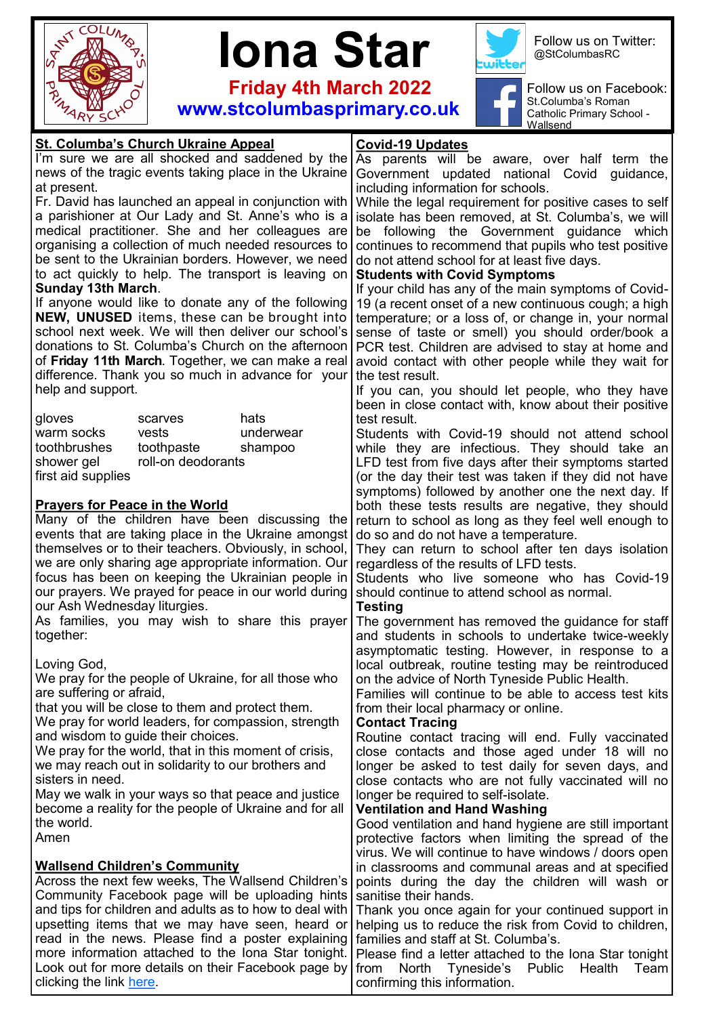





Follow us on Twitter: @StColumbasRC

 **Friday 4th March 2022 www.stcolumbasprimary.co.uk**



Follow us on Facebook: St.Columba's Roman Catholic Primary School - Wallsend

## **Covid-19 Updates** As parents will be aware, over half term the Government updated national Covid guidance, including information for schools. While the legal requirement for positive cases to self isolate has been removed, at St. Columba's, we will be following the Government guidance which continues to recommend that pupils who test positive do not attend school for at least five days. **Students with Covid Symptoms** If your child has any of the main symptoms of Covid-19 (a recent onset of a new continuous cough; a high temperature; or a loss of, or change in, your normal sense of taste or smell) you should order/book a PCR test. Children are advised to stay at home and avoid contact with other people while they wait for the test result. If you can, you should let people, who they have been in close contact with, know about their positive test result. Students with Covid-19 should not attend school while they are infectious. They should take an LFD test from five days after their symptoms started (or the day their test was taken if they did not have symptoms) followed by another one the next day. If both these tests results are negative, they should return to school as long as they feel well enough to do so and do not have a temperature. They can return to school after ten days isolation regardless of the results of LFD tests. Students who live someone who has Covid-19 should continue to attend school as normal. **Testing** The government has removed the guidance for staff and students in schools to undertake twice-weekly asymptomatic testing. However, in response to a local outbreak, routine testing may be reintroduced on the advice of North Tyneside Public Health. Families will continue to be able to access test kits from their local pharmacy or online. **Contact Tracing** Routine contact tracing will end. Fully vaccinated close contacts and those aged under 18 will no longer be asked to test daily for seven days, and close contacts who are not fully vaccinated will no longer be required to self-isolate. **Ventilation and Hand Washing** Good ventilation and hand hygiene are still important protective factors when limiting the spread of the virus. We will continue to have windows / doors open in classrooms and communal areas and at specified points during the day the children will wash or sanitise their hands. Thank you once again for your continued support in helping us to reduce the risk from Covid to children, families and staff at St. Columba's. Please find a letter attached to the Iona Star tonight from North Tyneside's Public Health Team confirming this information. **St. Columba's Church Ukraine Appeal** I'm sure we are all shocked and saddened by the news of the tragic events taking place in the Ukraine at present. Fr. David has launched an appeal in conjunction with a parishioner at Our Lady and St. Anne's who is a medical practitioner. She and her colleagues are organising a collection of much needed resources to be sent to the Ukrainian borders. However, we need to act quickly to help. The transport is leaving on **Sunday 13th March**. If anyone would like to donate any of the following **NEW, UNUSED** items, these can be brought into school next week. We will then deliver our school's donations to St. Columba's Church on the afternoon of **Friday 11th March**. Together, we can make a real difference. Thank you so much in advance for your help and support. gloves scarves hats warm socks vests underwear toothbrushes toothpaste shampoo shower gel coll-on deodorants first aid supplies **Prayers for Peace in the World** Many of the children have been discussing the events that are taking place in the Ukraine amongst themselves or to their teachers. Obviously, in school, we are only sharing age appropriate information. Our focus has been on keeping the Ukrainian people in our prayers. We prayed for peace in our world during our Ash Wednesday liturgies. As families, you may wish to share this prayer together: Loving God, We pray for the people of Ukraine, for all those who are suffering or afraid, that you will be close to them and protect them. We pray for world leaders, for compassion, strength and wisdom to guide their choices. We pray for the world, that in this moment of crisis, we may reach out in solidarity to our brothers and sisters in need. May we walk in your ways so that peace and justice become a reality for the people of Ukraine and for all the world. Amen **Wallsend Children's Community** Across the next few weeks, The Wallsend Children's Community Facebook page will be uploading hints and tips for children and adults as to how to deal with upsetting items that we may have seen, heard or read in the news. Please find a poster explaining more information attached to the Iona Star tonight. Look out for more details on their Facebook page by clicking the link [here.](https://www.facebook.com/wallsendchildrenscommunity/)